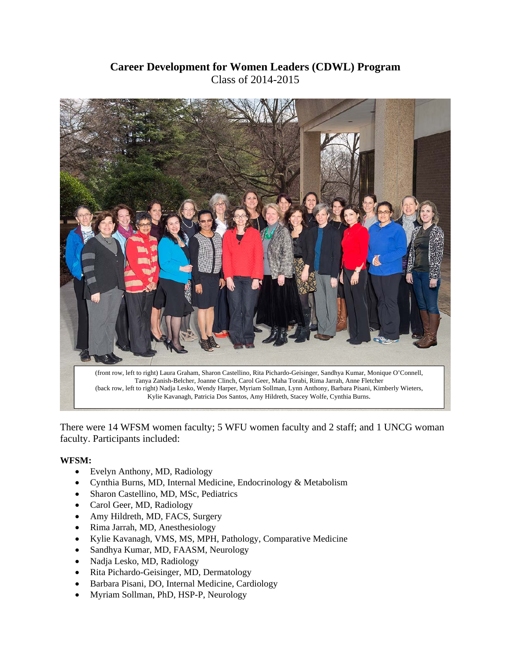## **Career Development for Women Leaders (CDWL) Program**  Class of 2014-2015



There were 14 WFSM women faculty; 5 WFU women faculty and 2 staff; and 1 UNCG woman faculty. Participants included:

## **WFSM:**

- Evelyn Anthony, MD, Radiology
- Cynthia Burns, MD, Internal Medicine, Endocrinology & Metabolism
- Sharon Castellino, MD, MSc, Pediatrics
- Carol Geer, MD, Radiology
- Amy Hildreth, MD, FACS, Surgery
- Rima Jarrah, MD, Anesthesiology
- Kylie Kavanagh, VMS, MS, MPH, Pathology, Comparative Medicine
- Sandhya Kumar, MD, FAASM, Neurology
- Nadja Lesko, MD, Radiology
- Rita Pichardo-Geisinger, MD, Dermatology
- Barbara Pisani, DO, Internal Medicine, Cardiology
- Myriam Sollman, PhD, HSP-P, Neurology